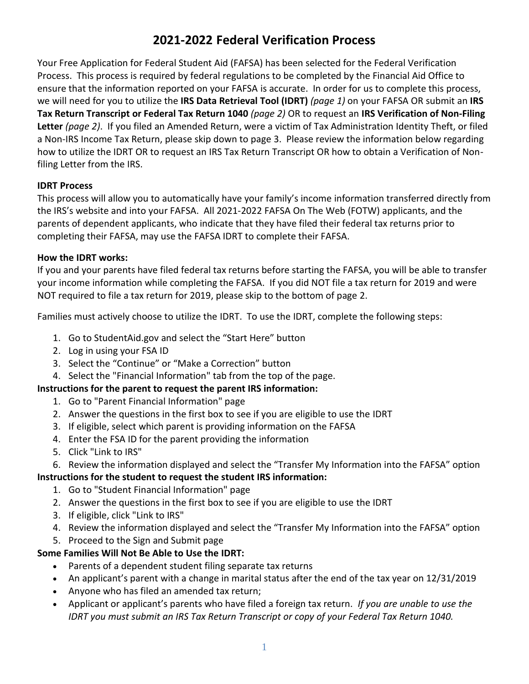# **2021-2022 Federal Verification Process**

Your Free Application for Federal Student Aid (FAFSA) has been selected for the Federal Verification Process. This process is required by federal regulations to be completed by the Financial Aid Office to ensure that the information reported on your FAFSA is accurate. In order for us to complete this process, we will need for you to utilize the **IRS Data Retrieval Tool (IDRT)** *(page 1)* on your FAFSA OR submit an **IRS Tax Return Transcript or Federal Tax Return 1040** *(page 2)* OR to request an **IRS Verification of Non-Filing Letter** *(page 2)*. If you filed an Amended Return, were a victim of Tax Administration Identity Theft, or filed a Non-IRS Income Tax Return, please skip down to page 3. Please review the information below regarding how to utilize the IDRT OR to request an IRS Tax Return Transcript OR how to obtain a Verification of Nonfiling Letter from the IRS.

### **IDRT Process**

This process will allow you to automatically have your family's income information transferred directly from the IRS's website and into your FAFSA. All 2021-2022 FAFSA On The Web (FOTW) applicants, and the parents of dependent applicants, who indicate that they have filed their federal tax returns prior to completing their FAFSA, may use the FAFSA IDRT to complete their FAFSA.

#### **How the IDRT works:**

If you and your parents have filed federal tax returns before starting the FAFSA, you will be able to transfer your income information while completing the FAFSA. If you did NOT file a tax return for 2019 and were NOT required to file a tax return for 2019, please skip to the bottom of page 2.

Families must actively choose to utilize the IDRT. To use the IDRT, complete the following steps:

- 1. Go to StudentAid.gov and select the "Start Here" button
- 2. Log in using your FSA ID
- 3. Select the "Continue" or "Make a Correction" button
- 4. Select the "Financial Information" tab from the top of the page.

### **Instructions for the parent to request the parent IRS information:**

- 1. Go to "Parent Financial Information" page
- 2. Answer the questions in the first box to see if you are eligible to use the IDRT
- 3. If eligible, select which parent is providing information on the FAFSA
- 4. Enter the FSA ID for the parent providing the information
- 5. Click "Link to IRS"
- 6. Review the information displayed and select the "Transfer My Information into the FAFSA" option

## **Instructions for the student to request the student IRS information:**

- 1. Go to "Student Financial Information" page
- 2. Answer the questions in the first box to see if you are eligible to use the IDRT
- 3. If eligible, click "Link to IRS"
- 4. Review the information displayed and select the "Transfer My Information into the FAFSA" option
- 5. Proceed to the Sign and Submit page

## **Some Families Will Not Be Able to Use the IDRT:**

- Parents of a dependent student filing separate tax returns
- An applicant's parent with a change in marital status after the end of the tax year on 12/31/2019
- Anyone who has filed an amended tax return;
- Applicant or applicant's parents who have filed a foreign tax return. *If you are unable to use the IDRT you must submit an IRS Tax Return Transcript or copy of your Federal Tax Return 1040.*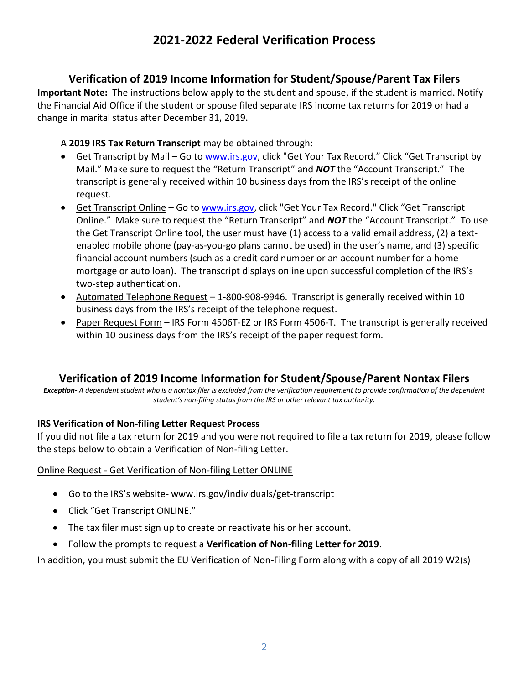# **2021-2022 Federal Verification Process**

## **Verification of 2019 Income Information for Student/Spouse/Parent Tax Filers**

**Important Note:** The instructions below apply to the student and spouse, if the student is married. Notify the Financial Aid Office if the student or spouse filed separate IRS income tax returns for 2019 or had a change in marital status after December 31, 2019.

### A **2019 IRS Tax Return Transcript** may be obtained through:

- Get Transcript by Mail Go to [www.irs.gov,](http://www.irs.gov/) click "Get Your Tax Record." Click "Get Transcript by Mail." Make sure to request the "Return Transcript" and *NOT* the "Account Transcript." The transcript is generally received within 10 business days from the IRS's receipt of the online request.
- Get Transcript Online Go to [www.irs.gov,](http://www.irs.gov/) click "Get Your Tax Record." Click "Get Transcript Online." Make sure to request the "Return Transcript" and *NOT* the "Account Transcript." To use the Get Transcript Online tool, the user must have (1) access to a valid email address, (2) a textenabled mobile phone (pay-as-you-go plans cannot be used) in the user's name, and (3) specific financial account numbers (such as a credit card number or an account number for a home mortgage or auto loan). The transcript displays online upon successful completion of the IRS's two-step authentication.
- Automated Telephone Request 1-800-908-9946. Transcript is generally received within 10 business days from the IRS's receipt of the telephone request.
- Paper Request Form IRS Form 4506T-EZ or IRS Form 4506-T. The transcript is generally received within 10 business days from the IRS's receipt of the paper request form.

# **Verification of 2019 Income Information for Student/Spouse/Parent Nontax Filers**

*Exception- A dependent student who is a nontax filer is excluded from the verification requirement to provide confirmation of the dependent student's non-filing status from the IRS or other relevant tax authority.*

### **IRS Verification of Non-filing Letter Request Process**

If you did not file a tax return for 2019 and you were not required to file a tax return for 2019, please follow the steps below to obtain a Verification of Non-filing Letter.

#### Online Request - Get Verification of Non-filing Letter ONLINE

- Go to the IRS's website- www.irs.gov/individuals/get-transcript
- Click "Get Transcript ONLINE."
- The tax filer must sign up to create or reactivate his or her account.
- Follow the prompts to request a **Verification of Non-filing Letter for 2019**.

In addition, you must submit the EU Verification of Non-Filing Form along with a copy of all 2019 W2(s)